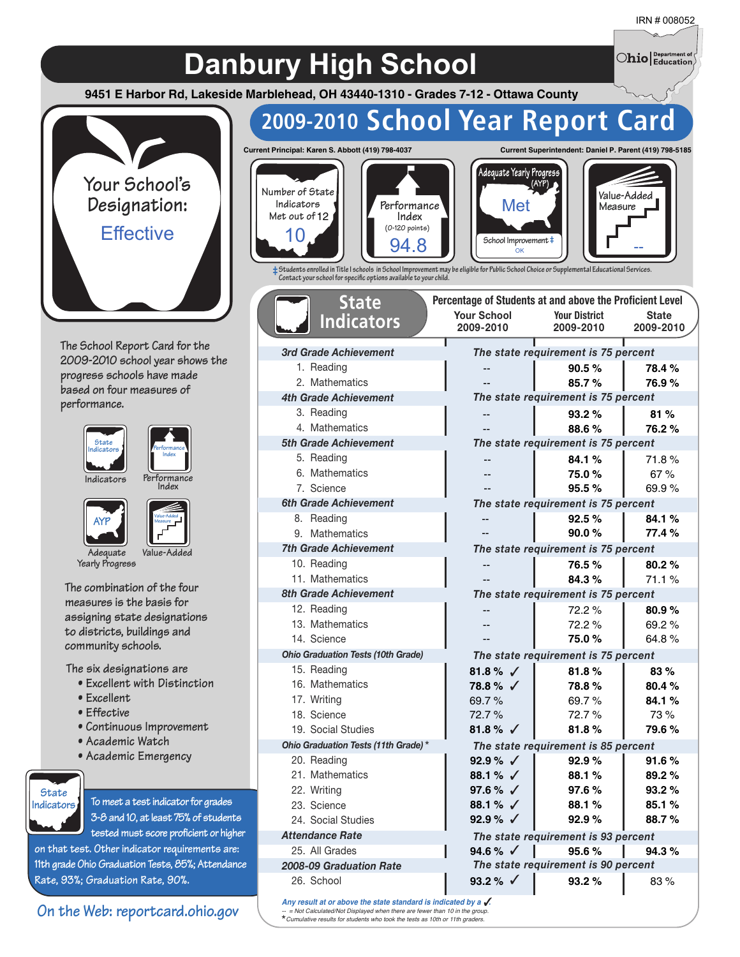$\bigcirc$ hio $\big|_\text{Education}^\text{Department of}$ 

## **Danbury High School**

**9451 E Harbor Rd, Lakeside Marblehead, OH 43440-1310 - Grades 7-12 - Ottawa County**



**The School Report Card for the 2009-2010 school year shows the progress schools have made based on four measures of performance.**





**Indicators Performa**<br>**Index** 

**AYP**



**Adequate Value-Added Yearly Progress**

**The combination of the four measures is the basis for assigning state designations to districts, buildings and community schools.**

**The six designations are**

- **Excellent with Distinction**
- **Excellent**
- **Effective**
- **Continuous Improvement**
- **Academic Watch**
- **Academic Emergency**



**To meet a test indicator for grades 3-8 and 10, at least 75% of students tested must score proficient or higher**

**on that test. Other indicator requirements are: 11th grade Ohio Graduation Tests, 85%; Attendance Rate, 93%; Graduation Rate, 90%.**

#### **On the Web: reportcard.ohio.gov**

## **2009-2010 School Year Report Card**



**Indicators Met out of 12**

> *3rd Grade Achievement* 1. Reading 2. Mathematics *4th Grade Achievement* 3. Reading 4. Mathematics *5th Grade Achievement* 5. Reading 6. Mathematics 7. Science *6th Grade Achievement* 8. Reading 9. Mathematics *7th Grade Achievement* 10. Reading 11. Mathematics *8th Grade Achievement* 12. Reading 13. Mathematics 14. Science

**State Indicators**





**Percentage of Students at and above the Proficient Level**



**‡Students enrolled in Title I schools in School Improvement may be eligible for Public School Choice or Supplemental Educational Services. Contact your school for specic options available to your child.**

| <b>Your School</b> | <b>Your District</b>                | State     |
|--------------------|-------------------------------------|-----------|
| 2009-2010          | 2009-2010                           | 2009-2010 |
|                    |                                     |           |
|                    | The state requirement is 75 percent |           |
|                    | $90.5 \%$                           | 78.4%     |
| $-$                | 85.7%                               | 76.9%     |
|                    | The state requirement is 75 percent |           |
| --                 | 93.2%                               | 81%       |
| --                 | 88.6%                               | 76.2%     |
|                    | The state requirement is 75 percent |           |
|                    | 84.1%                               | 71.8%     |
| --                 | 75.0%                               | 67%       |
|                    | 95.5%                               | 69.9%     |
|                    | The state requirement is 75 percent |           |
| ۵.                 | 92.5%                               | 84.1%     |
| $-$                | 90.0%                               | 77.4%     |
|                    | The state requirement is 75 percent |           |
| --                 | 76.5%                               | 80.2%     |
|                    | 84.3%                               | 71.1%     |
|                    | The state requirement is 75 percent |           |
|                    | 72.2%                               | 80.9%     |
| ۵.                 | 72.2%                               | 69.2%     |
|                    | 75.0%                               | 64.8%     |
|                    |                                     |           |
|                    | The state requirement is 75 percent |           |
| 81.8% $\sqrt{ }$   | 81.8%                               | 83%       |
| 78.8 % √           | 78.8%                               | 80.4%     |
| 69.7%              | 69.7%                               | 84.1%     |
| 72.7%              | 72.7%                               | 73%       |
| 81.8% $\sqrt{ }$   | 81.8%                               | 79.6%     |
|                    | The state requirement is 85 percent |           |
| 92.9 % $\sqrt{ }$  | 92.9%                               | 91.6%     |
| 88.1 % √           | 88.1%                               | 89.2%     |
| 97.6 % √           | 97.6%                               | 93.2%     |
| 88.1 % $\sqrt{ }$  | 88.1%                               | 85.1%     |
| 92.9 % $\sqrt{ }$  | 92.9%                               | 88.7%     |
|                    | The state requirement is 93 percent |           |
| 94.6 % $\sqrt{ }$  | 95.6%                               | 94.3%     |
|                    | The state requirement is 90 percent |           |
| 93.2 % $\sqrt{ }$  | 93.2%                               | 83%       |
| indicated by a .   |                                     |           |

Any result at or above the state standard is *-- = Not Calculated/Not Displayed when there are fewer than 10 in the group. Cumulative results for students who took the tests as 10th or 11th graders.* \*

*Ohio Graduation Tests (10th Grade)*

*Ohio Graduation Tests (11th Grade)* \*

15. Reading 16. Mathematics 17. Writing 18. Science 19. Social Studies

20. Reading 21. Mathematics 22. Writing 23. Science 24. Social Studies *Attendance Rate* 25. All Grades *2008-09 Graduation Rate*

26. School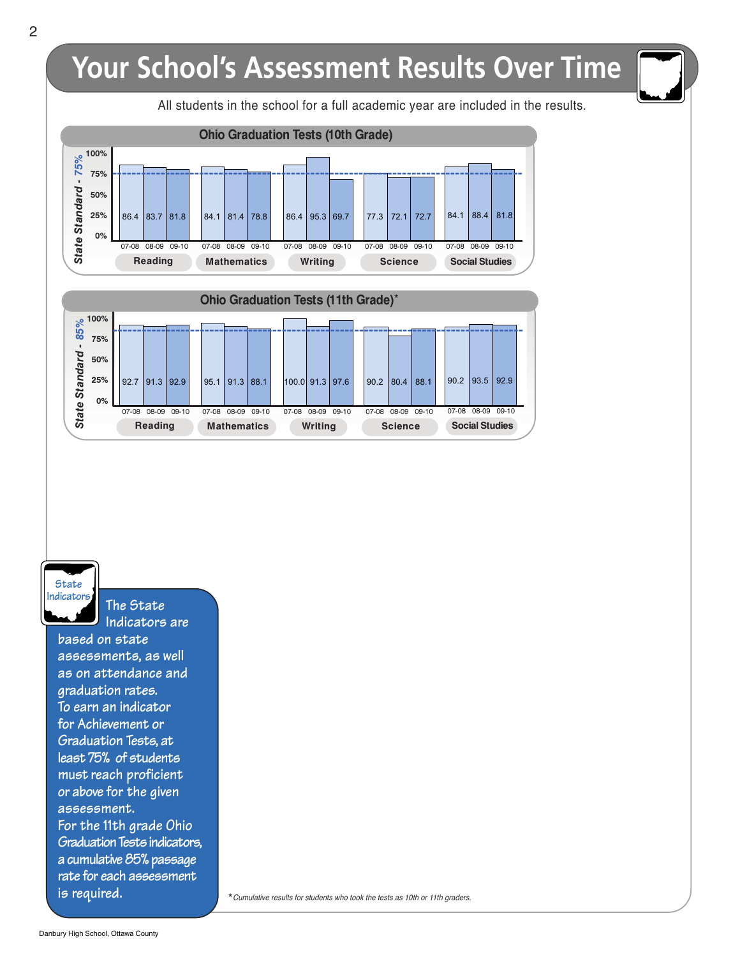## **Your School's Assessment Results Over Time**

All students in the school for a full academic year are included in the results.



**Reading Mathematics Writing Science Social Studies**

**State Indicators**

**The State Indicators are**

**based on state assessments, as well as on attendance and graduation rates. To earn an indicator for Achievement or Graduation Tests, at least 75% of students must reach proficient or above for the given assessment. For the 11th grade Ohio Graduation Tests indicators, a cumulative 85% passage rate for each assessment is required.**

\*Cumulative results for students who took the tests as 10th or 11th graders.

Ï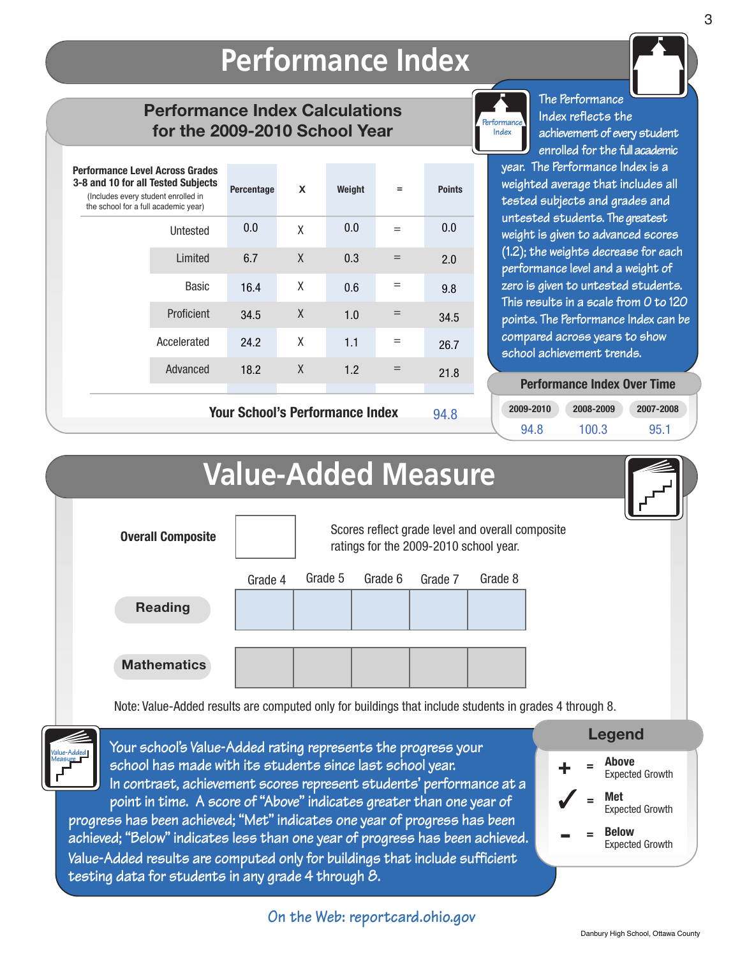## **Performance Index**

#### **Performance Index Calculations for the 2009-2010 School Year**

| <b>Performance Level Across Grades</b><br>3-8 and 10 for all Tested Subjects<br>(Includes every student enrolled in<br>the school for a full academic year) |             | Percentage                             | X | Weight | $=$ | <b>Points</b> |
|-------------------------------------------------------------------------------------------------------------------------------------------------------------|-------------|----------------------------------------|---|--------|-----|---------------|
|                                                                                                                                                             | Untested    | 0.0                                    | χ | 0.0    | $=$ | 0.0           |
|                                                                                                                                                             | Limited     | 6.7                                    | X | 0.3    | $=$ | 2.0           |
|                                                                                                                                                             | Basic       | 16.4                                   | χ | 0.6    | $=$ | 9.8           |
|                                                                                                                                                             | Proficient  | 34.5                                   | X | 1.0    | $=$ | 34.5          |
|                                                                                                                                                             | Accelerated | 24.2                                   | χ | 1.1    | $=$ | 26.7          |
|                                                                                                                                                             | Advanced    | 18.2                                   | X | 1.2    | $=$ | 21.8          |
|                                                                                                                                                             |             | <b>Your School's Performance Index</b> |   |        |     | 94.8          |

**Your School's Performance Index**



**The Performance Index reflects the achievement of every student enrolled for the fullacademic**

**year. The Performance Index is a weighted average that includes all tested subjects and grades and untested students. The greatest weight is given to advanced scores (1.2); the weights decrease for each performance level and a weight of zero is given to untested students. This results in a scale from 0 to 120 points. The Performance Index can be compared across years to show school achievement trends.**

#### **Performance Index Over Time Performance Index Over Time**

**2009-2010 2008-2009 2007-2008 94.8 100.3 95.1**

|                                                                                                                                                                                                                                                                                                                                                                                                                                                                                                                                                                                                                                                                                                                                                                                                                                | <b>Value-Added Measure</b> |         |                                        |         |                                                  |  |                                   |  |  |
|--------------------------------------------------------------------------------------------------------------------------------------------------------------------------------------------------------------------------------------------------------------------------------------------------------------------------------------------------------------------------------------------------------------------------------------------------------------------------------------------------------------------------------------------------------------------------------------------------------------------------------------------------------------------------------------------------------------------------------------------------------------------------------------------------------------------------------|----------------------------|---------|----------------------------------------|---------|--------------------------------------------------|--|-----------------------------------|--|--|
| <b>Overall Composite</b>                                                                                                                                                                                                                                                                                                                                                                                                                                                                                                                                                                                                                                                                                                                                                                                                       |                            |         | ratings for the 2009-2010 school year. |         | Scores reflect grade level and overall composite |  |                                   |  |  |
| <b>Reading</b>                                                                                                                                                                                                                                                                                                                                                                                                                                                                                                                                                                                                                                                                                                                                                                                                                 | Grade 4                    | Grade 5 | Grade 6                                | Grade 7 | Grade 8                                          |  |                                   |  |  |
| <b>Mathematics</b>                                                                                                                                                                                                                                                                                                                                                                                                                                                                                                                                                                                                                                                                                                                                                                                                             |                            |         |                                        |         |                                                  |  |                                   |  |  |
| Note: Value-Added results are computed only for buildings that include students in grades 4 through 8.<br><b>Legend</b><br>Your school's Value-Added rating represents the progress your<br><b>Above</b><br>school has made with its students since last school year.<br><b>Expected Growth</b><br>In contrast, achievement scores represent students' performance at a<br>Met<br>point in time. A score of "Above" indicates greater than one year of<br><b>Expected Growth</b><br>progress has been achieved; "Met" indicates one year of progress has been<br><b>Below</b><br>achieved; "Below" indicates less than one year of progress has been achieved.<br><b>Expected Growth</b><br>Value-Added results are computed only for buildings that include sufficient<br>testing data for students in any grade 4 through 8. |                            |         |                                        |         |                                                  |  |                                   |  |  |
|                                                                                                                                                                                                                                                                                                                                                                                                                                                                                                                                                                                                                                                                                                                                                                                                                                |                            |         | On the Web: reportcard.ohio.gov        |         |                                                  |  | Danhury High School Ottawa County |  |  |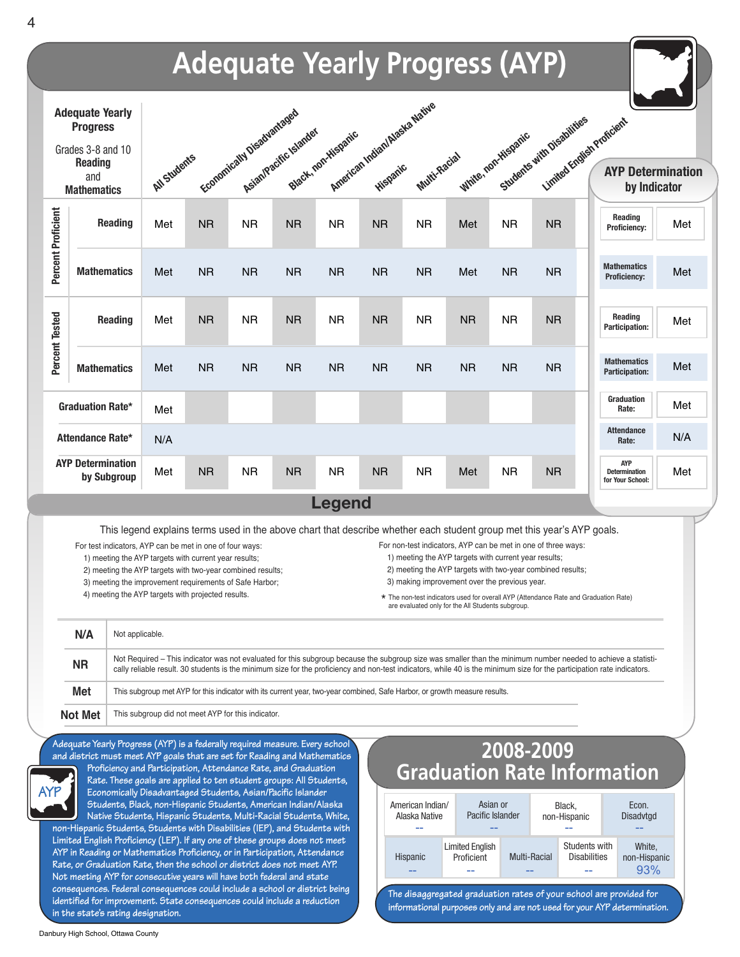

**informational purposes only and are not used for your AYP determination.**

**Danbury High School, Ottawa County**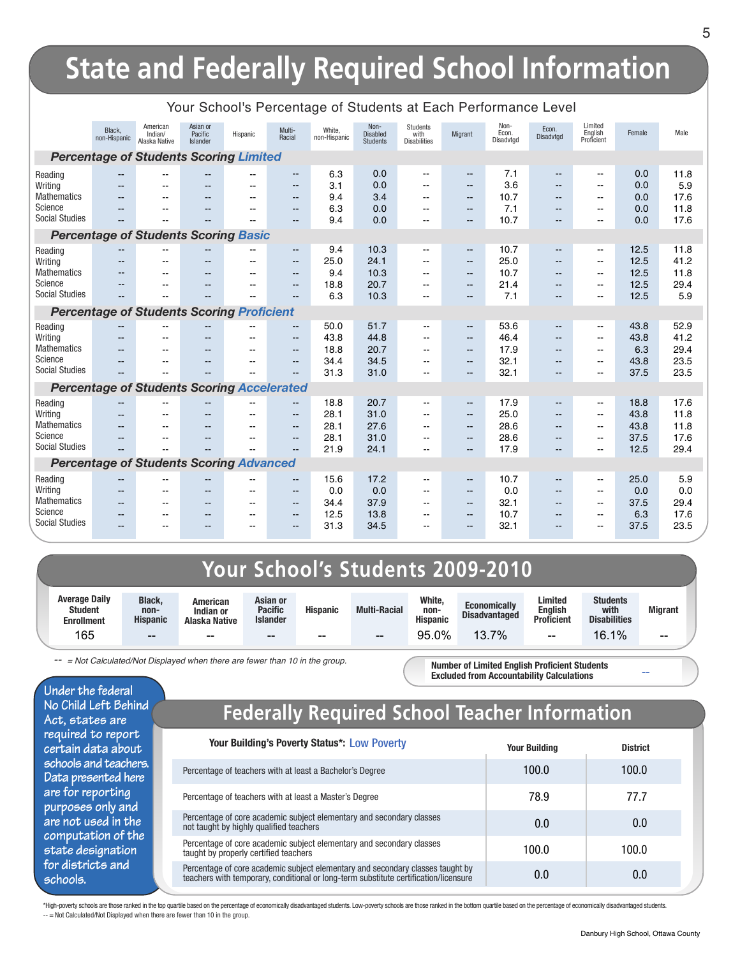## **State and Federally Required School Information**

|                                               | Black.<br>non-Hispanic                               | American<br>Indian/<br>Alaska Native | Asian or<br>Pacific<br>Islander                      | Hispanic                 | Multi-<br>Racial                         | White,<br>non-Hispanic | Non-<br><b>Disabled</b><br><b>Students</b> | <b>Students</b><br>with<br><b>Disabilities</b> | Migrant                                       | Non-<br>Econ.<br>Disadvtgd | Econ.<br>Disadvtgd             | Limited<br>English<br>Proficient                     | Female       | Male         |
|-----------------------------------------------|------------------------------------------------------|--------------------------------------|------------------------------------------------------|--------------------------|------------------------------------------|------------------------|--------------------------------------------|------------------------------------------------|-----------------------------------------------|----------------------------|--------------------------------|------------------------------------------------------|--------------|--------------|
| <b>Percentage of Students Scoring Limited</b> |                                                      |                                      |                                                      |                          |                                          |                        |                                            |                                                |                                               |                            |                                |                                                      |              |              |
| Reading<br>Writing                            |                                                      | $\overline{a}$<br>$-$                | $\overline{a}$<br>--                                 | $\overline{a}$<br>--     | $\frac{1}{2}$<br>$-$                     | 6.3<br>3.1             | 0.0<br>0.0                                 | $\overline{\phantom{a}}$<br>--                 | $\overline{\phantom{a}}$<br>$- -$             | 7.1<br>3.6                 | $\overline{\phantom{a}}$<br>-- | $\mathbf{u}$<br>--                                   | 0.0<br>0.0   | 11.8<br>5.9  |
| <b>Mathematics</b>                            |                                                      | $-$                                  |                                                      |                          | $\sim$ $\sim$                            | 9.4                    | 3.4                                        | --                                             | $\qquad \qquad -$                             | 10.7                       | $-$                            | $\sim$                                               | 0.0          | 17.6         |
| Science<br><b>Social Studies</b>              |                                                      |                                      | --                                                   |                          | $-$                                      | 6.3<br>9.4             | 0.0<br>0.0                                 | --                                             | $\qquad \qquad -$<br>$- -$                    | 7.1<br>10.7                | --                             | $\overline{\phantom{a}}$<br>--                       | 0.0<br>0.0   | 11.8<br>17.6 |
|                                               |                                                      |                                      |                                                      |                          |                                          |                        |                                            |                                                |                                               |                            |                                |                                                      |              |              |
|                                               | <b>Percentage of Students Scoring Basic</b>          |                                      |                                                      |                          |                                          |                        |                                            |                                                |                                               |                            |                                |                                                      |              |              |
| Reading                                       | $\overline{\phantom{m}}$                             | $\sim$ $\sim$                        | $\overline{\phantom{a}}$                             | --                       | $\overline{\phantom{a}}$                 | 9.4                    | 10.3                                       | $-$                                            | $\overline{\phantom{a}}$                      | 10.7                       | $\overline{\phantom{a}}$       | $\overline{\phantom{m}}$                             | 12.5         | 11.8         |
| Writing<br><b>Mathematics</b>                 | $\overline{\phantom{m}}$<br>$\overline{\phantom{m}}$ | $\sim$                               | $-$                                                  | --                       | $\mathbf{u}$                             | 25.0<br>9.4            | 24.1<br>10.3                               | --                                             | $--$                                          | 25.0<br>10.7               | $-$                            | $\mathbf{u}$                                         | 12.5<br>12.5 | 41.2<br>11.8 |
| Science                                       | $\overline{\phantom{m}}$                             | $\sim$ $\sim$                        | $\overline{\phantom{a}}$<br>$\overline{\phantom{a}}$ | --<br>--                 | $\mathbf{u}$<br>$\overline{\phantom{a}}$ | 18.8                   | 20.7                                       | --<br>--                                       | $\overline{\phantom{a}}$<br>$\qquad \qquad -$ | 21.4                       | --<br>$\overline{\phantom{a}}$ | $\overline{\phantom{a}}$<br>$\overline{\phantom{a}}$ | 12.5         | 29.4         |
| <b>Social Studies</b>                         |                                                      |                                      |                                                      |                          |                                          | 6.3                    | 10.3                                       | $\overline{a}$                                 | $\overline{a}$                                | 7.1                        |                                | $-$                                                  | 12.5         | 5.9          |
|                                               | <b>Percentage of Students Scoring Proficient</b>     |                                      |                                                      |                          |                                          |                        |                                            |                                                |                                               |                            |                                |                                                      |              |              |
| Reading                                       | $- -$                                                |                                      |                                                      |                          | $\sim$                                   | 50.0                   | 51.7                                       | $-$                                            | $--$                                          | 53.6                       | $-$                            | $\mathbf{u}$                                         | 43.8         | 52.9         |
| Writing                                       | $\overline{a}$                                       | $\sim$ $\sim$                        | $\qquad \qquad -$                                    | $\overline{\phantom{a}}$ | $\sim$ $\sim$                            | 43.8                   | 44.8                                       | $-$                                            | $\overline{\phantom{a}}$                      | 46.4                       | $\overline{\phantom{a}}$       | $\overline{\phantom{a}}$                             | 43.8         | 41.2         |
| <b>Mathematics</b>                            | $\overline{\phantom{a}}$                             | $\sim$                               | $-$                                                  | $\sim$                   | $\sim$ $\sim$                            | 18.8                   | 20.7                                       | $-$                                            | $\overline{\phantom{a}}$                      | 17.9                       | $\overline{\phantom{a}}$       | $\sim$                                               | 6.3          | 29.4         |
| Science<br><b>Social Studies</b>              | $-$                                                  | $\sim$                               | $-$                                                  | $\sim$ $\sim$            | $\sim$ $\sim$                            | 34.4                   | 34.5                                       | $-$                                            | $\overline{\phantom{a}}$                      | 32.1                       | $\overline{\phantom{a}}$       | $\overline{\phantom{a}}$                             | 43.8         | 23.5         |
|                                               |                                                      |                                      | $\overline{\phantom{a}}$                             | $\overline{\phantom{a}}$ | $\frac{1}{2}$                            | 31.3                   | 31.0                                       | $-$                                            | $\qquad \qquad -$                             | 32.1                       | --                             | $\overline{\phantom{a}}$                             | 37.5         | 23.5         |
|                                               | <b>Percentage of Students Scoring Accelerated</b>    |                                      |                                                      |                          |                                          |                        |                                            |                                                |                                               |                            |                                |                                                      |              |              |
| Reading                                       |                                                      |                                      |                                                      |                          | $\frac{1}{2}$                            | 18.8                   | 20.7                                       | $-$                                            | $\qquad \qquad -$                             | 17.9                       | $-$                            | $\mathbf{u}$                                         | 18.8         | 17.6         |
| Writing                                       |                                                      |                                      |                                                      |                          | $\frac{1}{2}$                            | 28.1                   | 31.0                                       | $-$                                            | $\qquad \qquad -$                             | 25.0                       | --                             | $\overline{\phantom{a}}$                             | 43.8         | 11.8         |
| <b>Mathematics</b>                            | $-$                                                  | --                                   | $-$                                                  | $\overline{\phantom{a}}$ | $\sim$ $\sim$                            | 28.1                   | 27.6                                       | $- -$                                          | $\overline{\phantom{a}}$                      | 28.6                       | --                             | $\overline{\phantom{a}}$                             | 43.8         | 11.8         |
| Science<br><b>Social Studies</b>              | $- -$                                                | --                                   | $\qquad \qquad -$                                    | $\overline{\phantom{a}}$ | $\mathbf{u}$                             | 28.1                   | 31.0                                       | $- -$                                          | $\qquad \qquad -$                             | 28.6                       | --                             | $\overline{\phantom{a}}$                             | 37.5         | 17.6         |
|                                               |                                                      |                                      | $-$                                                  |                          | $-$                                      | 21.9                   | 24.1                                       | $-$                                            | $- -$                                         | 17.9                       | $- -$                          | $\sim$                                               | 12.5         | 29.4         |
|                                               | <b>Percentage of Students Scoring Advanced</b>       |                                      |                                                      |                          |                                          |                        |                                            |                                                |                                               |                            |                                |                                                      |              |              |
| Reading                                       | $\sim$                                               | $-$                                  | $\overline{\phantom{a}}$                             | $-$                      | $-$                                      | 15.6                   | 17.2                                       | $- -$                                          | $\overline{\phantom{a}}$                      | 10.7                       | $\overline{\phantom{a}}$       | $\overline{\phantom{a}}$                             | 25.0         | 5.9          |
| Writing                                       | $\overline{\phantom{a}}$                             | $\sim$ $\sim$                        | $\overline{\phantom{a}}$                             | --                       | $\qquad \qquad -$                        | 0.0                    | 0.0                                        | --                                             | $\qquad \qquad -$                             | 0.0                        | --                             | $\overline{\phantom{a}}$                             | 0.0          | 0.0          |
| <b>Mathematics</b><br>Science                 | $\overline{\phantom{a}}$                             | $\sim$ $\sim$                        | $-$                                                  | $\overline{\phantom{a}}$ | $\overline{\phantom{a}}$                 | 34.4                   | 37.9                                       | $-$                                            | $\qquad \qquad -$                             | 32.1                       | --                             | $\overline{\phantom{a}}$                             | 37.5         | 29.4         |
| <b>Social Studies</b>                         | $\overline{\phantom{a}}$                             |                                      | --                                                   | $\overline{\phantom{a}}$ | --                                       | 12.5                   | 13.8                                       | $-$                                            | $- -$                                         | 10.7                       | --                             | --                                                   | 6.3          | 17.6         |
|                                               | --                                                   | $-$                                  | $\qquad \qquad -$                                    | $\overline{\phantom{a}}$ | $- -$                                    | 31.3                   | 34.5                                       | $- -$                                          | $\qquad \qquad -$                             | 32.1                       | --                             | $-$                                                  | 37.5         | 23.5         |

#### Your School's Percentage of Students at Each Performance Level

### **Your School's Students 2009-2010**

| <b>Average Daily</b><br><b>Student</b><br><b>Enrollment</b> | Black,<br>non-<br><b>Hispanic</b> | American<br>Indian or<br>Alaska Native | Asian or<br><b>Pacific</b><br><b>Islander</b> | <b>Hispanic</b> | <b>Multi-Racial</b> | White,<br>non-<br><b>Hispanic</b> | <b>Economically</b><br><b>Disadvantaged</b> | Limited<br><b>English</b><br><b>Proficient</b> | <b>Students</b><br>with<br><b>Disabilities</b> | <b>Migrant</b> |
|-------------------------------------------------------------|-----------------------------------|----------------------------------------|-----------------------------------------------|-----------------|---------------------|-----------------------------------|---------------------------------------------|------------------------------------------------|------------------------------------------------|----------------|
| 165                                                         | $- -$                             | $\overline{\phantom{m}}$               | $- -$                                         | $- -$           | $- -$               | 95.0%                             | $7\%$<br>12                                 | --                                             | 1%<br>16.1                                     | $- -$          |

*-- = Not Calculated/Not Displayed when there are fewer than 10 in the group.*

**Number of Limited English Proficient Students Excluded from Accountability Calculations**

**Under the federal No Child Left Behind Act, states are required to report certain data about schools and teachers. Data presented here are for reporting purposes only and are not used in the computation of the state designation for districts and schools.**

### **Federally Required School Teacher Information**

| Your Building's Poverty Status*: Low Poverty                                                                                                                           | Your Buildina | <b>District</b> |
|------------------------------------------------------------------------------------------------------------------------------------------------------------------------|---------------|-----------------|
| Percentage of teachers with at least a Bachelor's Degree                                                                                                               | 100.0         | 100.0           |
| Percentage of teachers with at least a Master's Degree                                                                                                                 | 78.9          | 77.7            |
| Percentage of core academic subject elementary and secondary classes<br>not taught by highly qualified teachers                                                        | 0.0           | 0.0             |
| Percentage of core academic subject elementary and secondary classes<br>taught by properly certified teachers                                                          | 100.0         | 100.0           |
| Percentage of core academic subject elementary and secondary classes taught by<br>teachers with temporary, conditional or long-term substitute certification/licensure | 0.0           | 0.0             |

\*High-poverty schools are those ranked in the top quartile based on the percentage of economically disadvantaged students. Low-poverty schools are those ranked in the bottom quartile based on the percentage of economically -- = Not Calculated/Not Displayed when there are fewer than 10 in the group.

**--**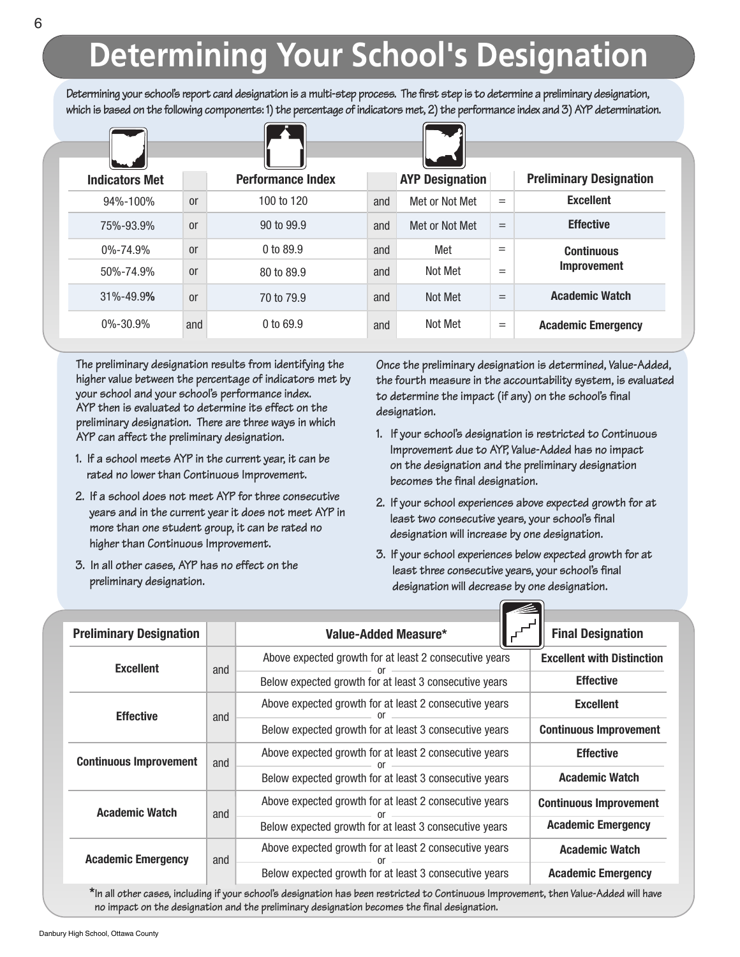# **Determining Your School's Designation**

Determining your school's report card designation is a multi-step process. The first step is to determine a preliminary designation, which is based on the following components: 1) the percentage of indicators met, 2) the performance index and 3) AYP determination.

| <b>Indicators Met</b> |               | <b>Performance Index</b> |     | <b>AYP Designation</b> |     | <b>Preliminary Designation</b> |
|-----------------------|---------------|--------------------------|-----|------------------------|-----|--------------------------------|
| 94%-100%              | <sub>or</sub> | 100 to 120               | and | Met or Not Met         | $=$ | <b>Excellent</b>               |
| 75%-93.9%             | <sub>or</sub> | 90 to 99.9               | and | Met or Not Met         | $=$ | <b>Effective</b>               |
| $0\% - 74.9\%$        | <sub>or</sub> | 0 to 89.9                | and | Met                    | $=$ | <b>Continuous</b>              |
| 50%-74.9%             | <sub>or</sub> | 80 to 89.9               | and | Not Met                | $=$ | <b>Improvement</b>             |
| 31%-49.9%             | <sub>or</sub> | 70 to 79.9               | and | Not Met                | $=$ | <b>Academic Watch</b>          |
| $0\% - 30.9\%$        | and           | 0 to 69.9                | and | Not Met                | $=$ | <b>Academic Emergency</b>      |

**The preliminary designation results from identifying the higher value between the percentage of indicators met by your school and your school's performance index. AYP then is evaluated to determine its effect on the preliminary designation. There are three ways in which AYP can affect the preliminary designation.**

- **1. If a school meets AYP in the current year, it can be rated no lower than Continuous Improvement.**
- **2. If a school does not meet AYP for three consecutive years and in the current year it does not meet AYP in more than one student group, it can be rated no higher than Continuous Improvement.**
- **3. In all other cases, AYP has no effect on the preliminary designation.**

**Once the preliminary designation is determined, Value-Added, the fourth measure in the accountability system, is evaluated to determine the impact (if any) on the school's final designation.**

- **1. If your school's designation is restricted to Continuous Improvement due to AYP, Value-Added has no impact on the designation and the preliminary designation becomes the final designation.**
- **2. If your school experiences above expected growth for at least two consecutive years, your school's final designation will increase by one designation.**
- **3. If your school experiences below expected growth for at least three consecutive years, your school's final designation will decrease by one designation.**

 $\sqrt{2}$ 

| <b>Preliminary Designation</b> |     | Value-Added Measure*                                   | <b>Final Designation</b>          |  |  |
|--------------------------------|-----|--------------------------------------------------------|-----------------------------------|--|--|
| <b>Excellent</b>               | and | Above expected growth for at least 2 consecutive years | <b>Excellent with Distinction</b> |  |  |
|                                |     | Below expected growth for at least 3 consecutive years | <b>Effective</b>                  |  |  |
| <b>Effective</b>               | and | Above expected growth for at least 2 consecutive years | <b>Excellent</b>                  |  |  |
|                                |     | Below expected growth for at least 3 consecutive years | <b>Continuous Improvement</b>     |  |  |
| <b>Continuous Improvement</b>  | and | Above expected growth for at least 2 consecutive years | <b>Effective</b>                  |  |  |
|                                |     | Below expected growth for at least 3 consecutive years | <b>Academic Watch</b>             |  |  |
| <b>Academic Watch</b>          | and | Above expected growth for at least 2 consecutive years | <b>Continuous Improvement</b>     |  |  |
|                                |     | Below expected growth for at least 3 consecutive years | <b>Academic Emergency</b>         |  |  |
| <b>Academic Emergency</b>      | and | Above expected growth for at least 2 consecutive years | <b>Academic Watch</b>             |  |  |
|                                |     | Below expected growth for at least 3 consecutive years | <b>Academic Emergency</b>         |  |  |

\*In all other cases, including if your school's designation has been restricted to Continuous Improvement, then Value-Added will have **no impact on the designation and the preliminary designation becomes the final designation.**